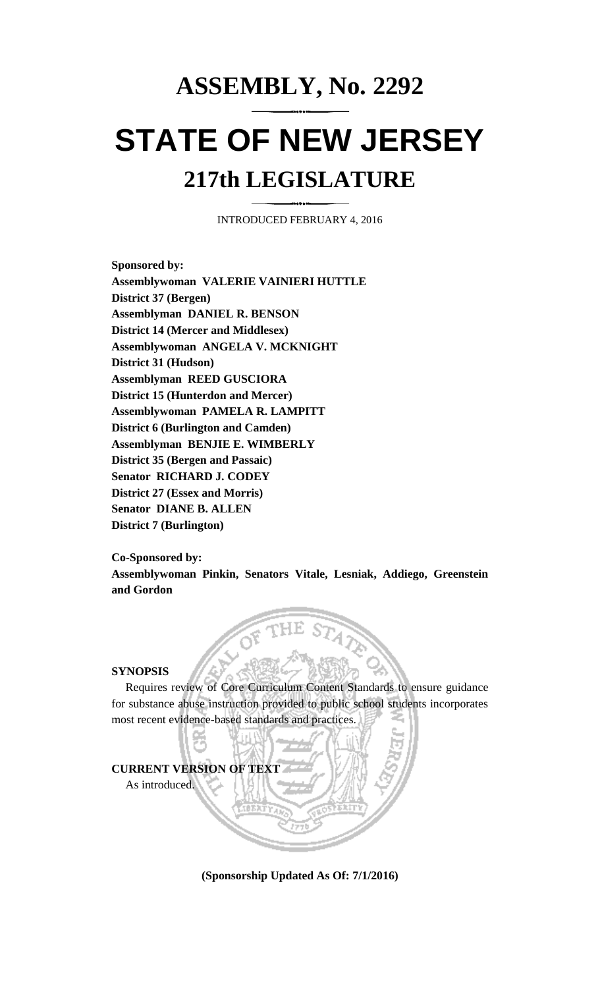## **ASSEMBLY, No. 2292**

# **STATE OF NEW JERSEY 217th LEGISLATURE**

INTRODUCED FEBRUARY 4, 2016

**Sponsored by: Assemblywoman VALERIE VAINIERI HUTTLE District 37 (Bergen) Assemblyman DANIEL R. BENSON District 14 (Mercer and Middlesex) Assemblywoman ANGELA V. MCKNIGHT District 31 (Hudson) Assemblyman REED GUSCIORA District 15 (Hunterdon and Mercer) Assemblywoman PAMELA R. LAMPITT District 6 (Burlington and Camden) Assemblyman BENJIE E. WIMBERLY District 35 (Bergen and Passaic) Senator RICHARD J. CODEY District 27 (Essex and Morris) Senator DIANE B. ALLEN District 7 (Burlington)**

**Co-Sponsored by: Assemblywoman Pinkin, Senators Vitale, Lesniak, Addiego, Greenstein and Gordon**

#### **SYNOPSIS**

Requires review of Core Curriculum Content Standards to ensure guidance for substance abuse instruction provided to public school students incorporates most recent evidence-based standards and practices.



**(Sponsorship Updated As Of: 7/1/2016)**